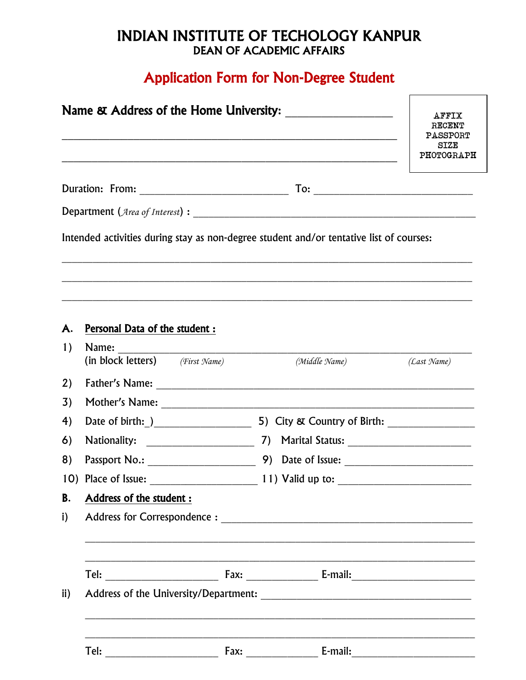## **INDIAN INSTITUTE OF TECHOLOGY KANPUR DEAN OF ACADEMIC AFFAIRS**

# **Application Form for Non-Degree Student**

|               |                                              |  |                                                                                         | <b>AFFIX</b><br>RECENT<br>PASSPORT<br><b>SIZE</b><br>PHOTOGRAPH |  |
|---------------|----------------------------------------------|--|-----------------------------------------------------------------------------------------|-----------------------------------------------------------------|--|
|               |                                              |  |                                                                                         | $To: \_\_$                                                      |  |
|               |                                              |  |                                                                                         |                                                                 |  |
|               |                                              |  | Intended activities during stay as non-degree student and/or tentative list of courses: |                                                                 |  |
| А.            | Personal Data of the student :               |  |                                                                                         |                                                                 |  |
| 1)            | Name:<br>(in block letters) $(First \ Name)$ |  | (Middle Name)                                                                           | (Last Name)                                                     |  |
| 2)            |                                              |  |                                                                                         |                                                                 |  |
| 3)            |                                              |  |                                                                                         |                                                                 |  |
| 4)            |                                              |  |                                                                                         |                                                                 |  |
| 6)            |                                              |  |                                                                                         |                                                                 |  |
| 8)            | Passport No.: _____________________          |  |                                                                                         |                                                                 |  |
|               | 10) Place of Issue:                          |  |                                                                                         |                                                                 |  |
| <b>B.</b>     | Address of the student :                     |  |                                                                                         |                                                                 |  |
| i)            |                                              |  |                                                                                         |                                                                 |  |
|               |                                              |  |                                                                                         |                                                                 |  |
| $\mathbf{ii}$ |                                              |  |                                                                                         |                                                                 |  |
|               |                                              |  |                                                                                         |                                                                 |  |